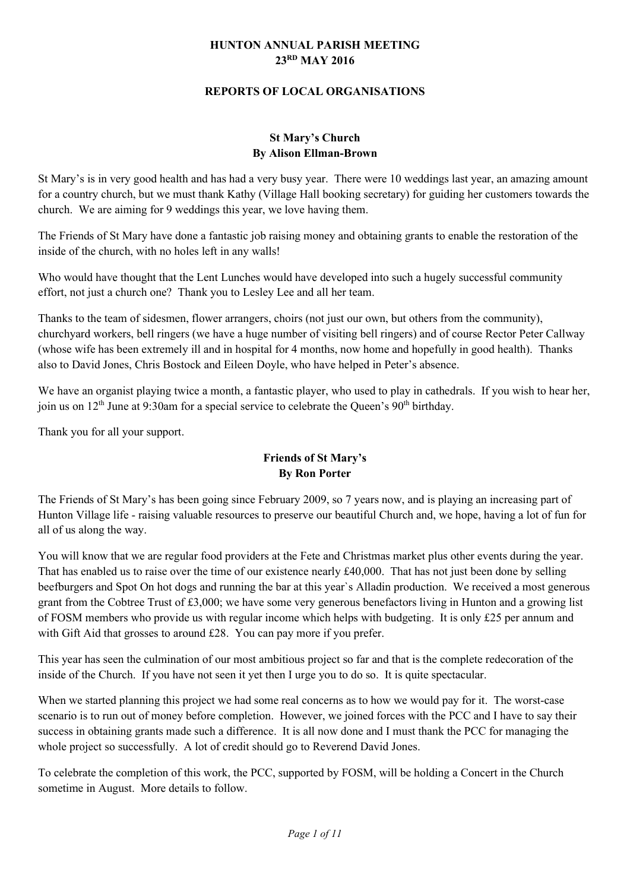#### **HUNTON ANNUAL PARISH MEETING 23RD MAY 2016**

#### **REPORTS OF LOCAL ORGANISATIONS**

#### **St Mary's Church By Alison Ellman-Brown**

St Mary's is in very good health and has had a very busy year. There were 10 weddings last year, an amazing amount for a country church, but we must thank Kathy (Village Hall booking secretary) for guiding her customers towards the church. We are aiming for 9 weddings this year, we love having them.

The Friends of St Mary have done a fantastic job raising money and obtaining grants to enable the restoration of the inside of the church, with no holes left in any walls!

Who would have thought that the Lent Lunches would have developed into such a hugely successful community effort, not just a church one? Thank you to Lesley Lee and all her team.

Thanks to the team of sidesmen, flower arrangers, choirs (not just our own, but others from the community), churchyard workers, bell ringers (we have a huge number of visiting bell ringers) and of course Rector Peter Callway (whose wife has been extremely ill and in hospital for 4 months, now home and hopefully in good health). Thanks also to David Jones, Chris Bostock and Eileen Doyle, who have helped in Peter's absence.

We have an organist playing twice a month, a fantastic player, who used to play in cathedrals. If you wish to hear her, join us on  $12<sup>th</sup>$  June at 9:30am for a special service to celebrate the Queen's 90<sup>th</sup> birthday.

Thank you for all your support.

## **Friends of St Mary's By Ron Porter**

The Friends of St Mary's has been going since February 2009, so 7 years now, and is playing an increasing part of Hunton Village life - raising valuable resources to preserve our beautiful Church and, we hope, having a lot of fun for all of us along the way.

You will know that we are regular food providers at the Fete and Christmas market plus other events during the year. That has enabled us to raise over the time of our existence nearly £40,000. That has not just been done by selling beefburgers and Spot On hot dogs and running the bar at this year`s Alladin production. We received a most generous grant from the Cobtree Trust of £3,000; we have some very generous benefactors living in Hunton and a growing list of FOSM members who provide us with regular income which helps with budgeting. It is only £25 per annum and with Gift Aid that grosses to around £28. You can pay more if you prefer.

This year has seen the culmination of our most ambitious project so far and that is the complete redecoration of the inside of the Church. If you have not seen it yet then I urge you to do so. It is quite spectacular.

When we started planning this project we had some real concerns as to how we would pay for it. The worst-case scenario is to run out of money before completion. However, we joined forces with the PCC and I have to say their success in obtaining grants made such a difference. It is all now done and I must thank the PCC for managing the whole project so successfully. A lot of credit should go to Reverend David Jones.

To celebrate the completion of this work, the PCC, supported by FOSM, will be holding a Concert in the Church sometime in August. More details to follow.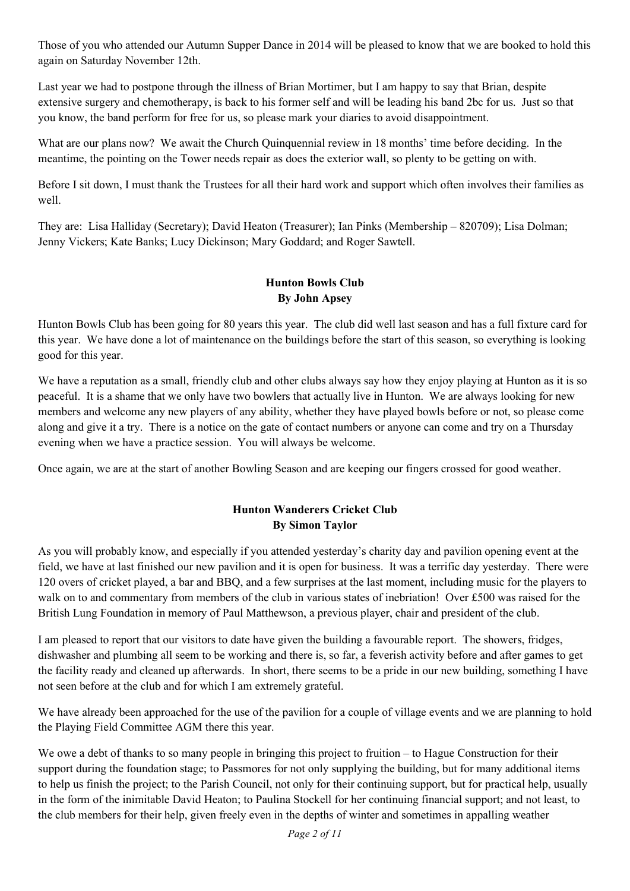Those of you who attended our Autumn Supper Dance in 2014 will be pleased to know that we are booked to hold this again on Saturday November 12th.

Last year we had to postpone through the illness of Brian Mortimer, but I am happy to say that Brian, despite extensive surgery and chemotherapy, is back to his former self and will be leading his band 2bc for us. Just so that you know, the band perform for free for us, so please mark your diaries to avoid disappointment.

What are our plans now? We await the Church Quinquennial review in 18 months' time before deciding. In the meantime, the pointing on the Tower needs repair as does the exterior wall, so plenty to be getting on with.

Before I sit down, I must thank the Trustees for all their hard work and support which often involves their families as well.

They are: Lisa Halliday (Secretary); David Heaton (Treasurer); Ian Pinks (Membership – 820709); Lisa Dolman; Jenny Vickers; Kate Banks; Lucy Dickinson; Mary Goddard; and Roger Sawtell.

### **Hunton Bowls Club By John Apsey**

Hunton Bowls Club has been going for 80 years this year. The club did well last season and has a full fixture card for this year. We have done a lot of maintenance on the buildings before the start of this season, so everything is looking good for this year.

We have a reputation as a small, friendly club and other clubs always say how they enjoy playing at Hunton as it is so peaceful. It is a shame that we only have two bowlers that actually live in Hunton. We are always looking for new members and welcome any new players of any ability, whether they have played bowls before or not, so please come along and give it a try. There is a notice on the gate of contact numbers or anyone can come and try on a Thursday evening when we have a practice session. You will always be welcome.

Once again, we are at the start of another Bowling Season and are keeping our fingers crossed for good weather.

## **Hunton Wanderers Cricket Club By Simon Taylor**

As you will probably know, and especially if you attended yesterday's charity day and pavilion opening event at the field, we have at last finished our new pavilion and it is open for business. It was a terrific day yesterday. There were 120 overs of cricket played, a bar and BBQ, and a few surprises at the last moment, including music for the players to walk on to and commentary from members of the club in various states of inebriation! Over £500 was raised for the British Lung Foundation in memory of Paul Matthewson, a previous player, chair and president of the club.

I am pleased to report that our visitors to date have given the building a favourable report. The showers, fridges, dishwasher and plumbing all seem to be working and there is, so far, a feverish activity before and after games to get the facility ready and cleaned up afterwards. In short, there seems to be a pride in our new building, something I have not seen before at the club and for which I am extremely grateful.

We have already been approached for the use of the pavilion for a couple of village events and we are planning to hold the Playing Field Committee AGM there this year.

We owe a debt of thanks to so many people in bringing this project to fruition – to Hague Construction for their support during the foundation stage; to Passmores for not only supplying the building, but for many additional items to help us finish the project; to the Parish Council, not only for their continuing support, but for practical help, usually in the form of the inimitable David Heaton; to Paulina Stockell for her continuing financial support; and not least, to the club members for their help, given freely even in the depths of winter and sometimes in appalling weather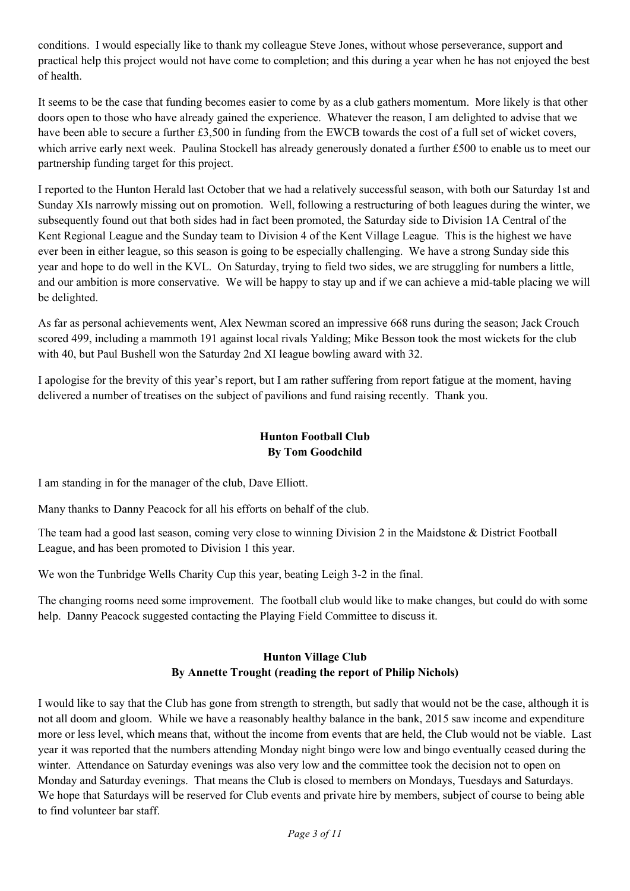conditions. I would especially like to thank my colleague Steve Jones, without whose perseverance, support and practical help this project would not have come to completion; and this during a year when he has not enjoyed the best of health.

It seems to be the case that funding becomes easier to come by as a club gathers momentum. More likely is that other doors open to those who have already gained the experience. Whatever the reason, I am delighted to advise that we have been able to secure a further £3,500 in funding from the EWCB towards the cost of a full set of wicket covers, which arrive early next week. Paulina Stockell has already generously donated a further £500 to enable us to meet our partnership funding target for this project.

I reported to the Hunton Herald last October that we had a relatively successful season, with both our Saturday 1st and Sunday XIs narrowly missing out on promotion. Well, following a restructuring of both leagues during the winter, we subsequently found out that both sides had in fact been promoted, the Saturday side to Division 1A Central of the Kent Regional League and the Sunday team to Division 4 of the Kent Village League. This is the highest we have ever been in either league, so this season is going to be especially challenging. We have a strong Sunday side this year and hope to do well in the KVL. On Saturday, trying to field two sides, we are struggling for numbers a little, and our ambition is more conservative. We will be happy to stay up and if we can achieve a mid-table placing we will be delighted.

As far as personal achievements went, Alex Newman scored an impressive 668 runs during the season; Jack Crouch scored 499, including a mammoth 191 against local rivals Yalding; Mike Besson took the most wickets for the club with 40, but Paul Bushell won the Saturday 2nd XI league bowling award with 32.

I apologise for the brevity of this year's report, but I am rather suffering from report fatigue at the moment, having delivered a number of treatises on the subject of pavilions and fund raising recently. Thank you.

#### **Hunton Football Club By Tom Goodchild**

I am standing in for the manager of the club, Dave Elliott.

Many thanks to Danny Peacock for all his efforts on behalf of the club.

The team had a good last season, coming very close to winning Division 2 in the Maidstone & District Football League, and has been promoted to Division 1 this year.

We won the Tunbridge Wells Charity Cup this year, beating Leigh 3-2 in the final.

The changing rooms need some improvement. The football club would like to make changes, but could do with some help. Danny Peacock suggested contacting the Playing Field Committee to discuss it.

### **Hunton Village Club By Annette Trought (reading the report of Philip Nichols)**

I would like to say that the Club has gone from strength to strength, but sadly that would not be the case, although it is not all doom and gloom. While we have a reasonably healthy balance in the bank, 2015 saw income and expenditure more or less level, which means that, without the income from events that are held, the Club would not be viable. Last year it was reported that the numbers attending Monday night bingo were low and bingo eventually ceased during the winter. Attendance on Saturday evenings was also very low and the committee took the decision not to open on Monday and Saturday evenings. That means the Club is closed to members on Mondays, Tuesdays and Saturdays. We hope that Saturdays will be reserved for Club events and private hire by members, subject of course to being able to find volunteer bar staff.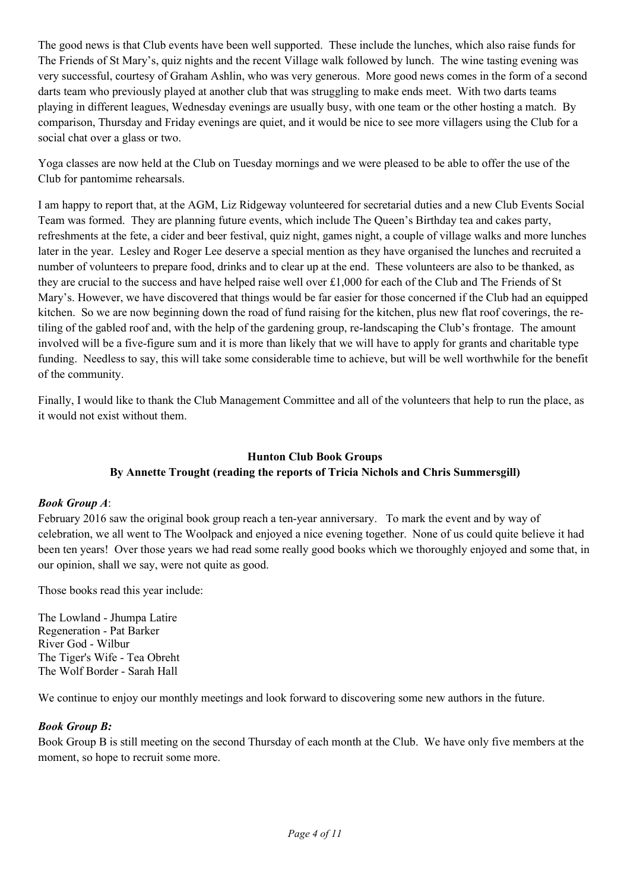The good news is that Club events have been well supported. These include the lunches, which also raise funds for The Friends of St Mary's, quiz nights and the recent Village walk followed by lunch. The wine tasting evening was very successful, courtesy of Graham Ashlin, who was very generous. More good news comes in the form of a second darts team who previously played at another club that was struggling to make ends meet. With two darts teams playing in different leagues, Wednesday evenings are usually busy, with one team or the other hosting a match. By comparison, Thursday and Friday evenings are quiet, and it would be nice to see more villagers using the Club for a social chat over a glass or two.

Yoga classes are now held at the Club on Tuesday mornings and we were pleased to be able to offer the use of the Club for pantomime rehearsals.

I am happy to report that, at the AGM, Liz Ridgeway volunteered for secretarial duties and a new Club Events Social Team was formed. They are planning future events, which include The Queen's Birthday tea and cakes party, refreshments at the fete, a cider and beer festival, quiz night, games night, a couple of village walks and more lunches later in the year. Lesley and Roger Lee deserve a special mention as they have organised the lunches and recruited a number of volunteers to prepare food, drinks and to clear up at the end. These volunteers are also to be thanked, as they are crucial to the success and have helped raise well over £1,000 for each of the Club and The Friends of St Mary's. However, we have discovered that things would be far easier for those concerned if the Club had an equipped kitchen. So we are now beginning down the road of fund raising for the kitchen, plus new flat roof coverings, the retiling of the gabled roof and, with the help of the gardening group, re-landscaping the Club's frontage. The amount involved will be a five-figure sum and it is more than likely that we will have to apply for grants and charitable type funding. Needless to say, this will take some considerable time to achieve, but will be well worthwhile for the benefit of the community.

Finally, I would like to thank the Club Management Committee and all of the volunteers that help to run the place, as it would not exist without them.

## **Hunton Club Book Groups By Annette Trought (reading the reports of Tricia Nichols and Chris Summersgill)**

#### *Book Group A*:

February 2016 saw the original book group reach a ten-year anniversary. To mark the event and by way of celebration, we all went to The Woolpack and enjoyed a nice evening together. None of us could quite believe it had been ten years! Over those years we had read some really good books which we thoroughly enjoyed and some that, in our opinion, shall we say, were not quite as good.

Those books read this year include:

The Lowland - Jhumpa Latire Regeneration - Pat Barker River God - Wilbur The Tiger's Wife - Tea Obreht The Wolf Border - Sarah Hall

We continue to enjoy our monthly meetings and look forward to discovering some new authors in the future.

### *Book Group B:*

Book Group B is still meeting on the second Thursday of each month at the Club. We have only five members at the moment, so hope to recruit some more.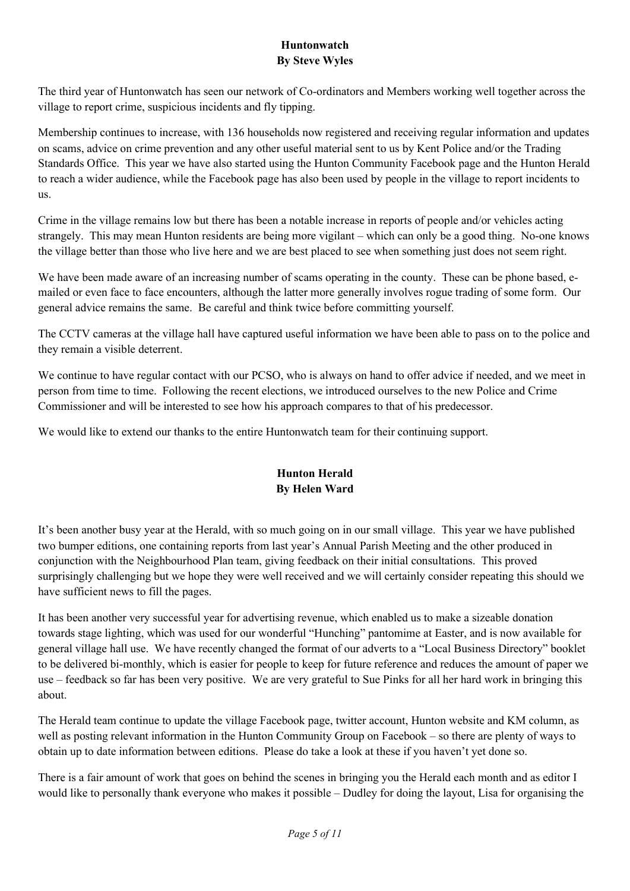## **Huntonwatch By Steve Wyles**

The third year of Huntonwatch has seen our network of Co-ordinators and Members working well together across the village to report crime, suspicious incidents and fly tipping.

Membership continues to increase, with 136 households now registered and receiving regular information and updates on scams, advice on crime prevention and any other useful material sent to us by Kent Police and/or the Trading Standards Office. This year we have also started using the Hunton Community Facebook page and the Hunton Herald to reach a wider audience, while the Facebook page has also been used by people in the village to report incidents to us.

Crime in the village remains low but there has been a notable increase in reports of people and/or vehicles acting strangely. This may mean Hunton residents are being more vigilant – which can only be a good thing. No-one knows the village better than those who live here and we are best placed to see when something just does not seem right.

We have been made aware of an increasing number of scams operating in the county. These can be phone based, emailed or even face to face encounters, although the latter more generally involves rogue trading of some form. Our general advice remains the same. Be careful and think twice before committing yourself.

The CCTV cameras at the village hall have captured useful information we have been able to pass on to the police and they remain a visible deterrent.

We continue to have regular contact with our PCSO, who is always on hand to offer advice if needed, and we meet in person from time to time. Following the recent elections, we introduced ourselves to the new Police and Crime Commissioner and will be interested to see how his approach compares to that of his predecessor.

We would like to extend our thanks to the entire Huntonwatch team for their continuing support.

# **Hunton Herald By Helen Ward**

It's been another busy year at the Herald, with so much going on in our small village. This year we have published two bumper editions, one containing reports from last year's Annual Parish Meeting and the other produced in conjunction with the Neighbourhood Plan team, giving feedback on their initial consultations. This proved surprisingly challenging but we hope they were well received and we will certainly consider repeating this should we have sufficient news to fill the pages.

It has been another very successful year for advertising revenue, which enabled us to make a sizeable donation towards stage lighting, which was used for our wonderful "Hunching" pantomime at Easter, and is now available for general village hall use. We have recently changed the format of our adverts to a "Local Business Directory" booklet to be delivered bi-monthly, which is easier for people to keep for future reference and reduces the amount of paper we use – feedback so far has been very positive. We are very grateful to Sue Pinks for all her hard work in bringing this about.

The Herald team continue to update the village Facebook page, twitter account, Hunton website and KM column, as well as posting relevant information in the Hunton Community Group on Facebook – so there are plenty of ways to obtain up to date information between editions. Please do take a look at these if you haven't yet done so.

There is a fair amount of work that goes on behind the scenes in bringing you the Herald each month and as editor I would like to personally thank everyone who makes it possible – Dudley for doing the layout, Lisa for organising the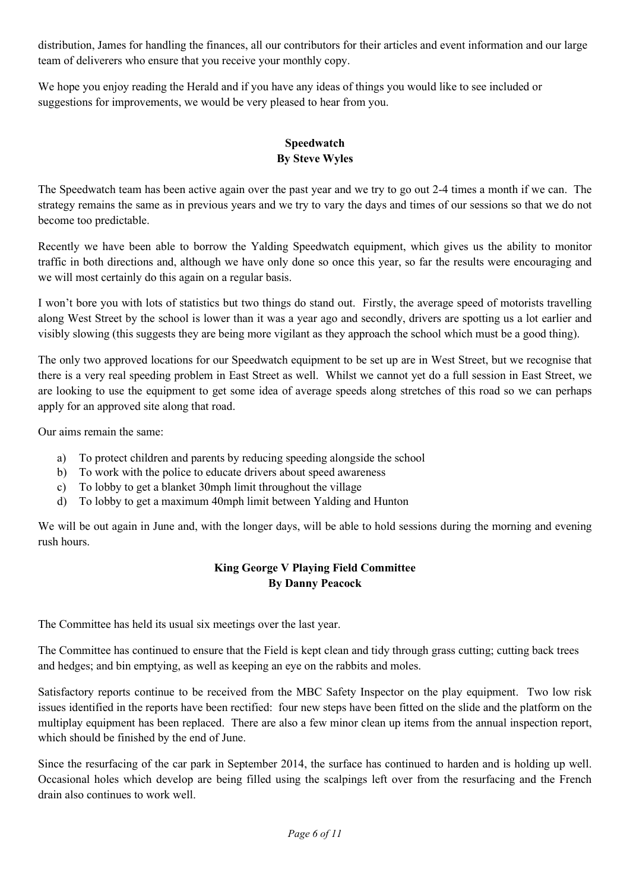distribution, James for handling the finances, all our contributors for their articles and event information and our large team of deliverers who ensure that you receive your monthly copy.

We hope you enjoy reading the Herald and if you have any ideas of things you would like to see included or suggestions for improvements, we would be very pleased to hear from you.

### **Speedwatch By Steve Wyles**

The Speedwatch team has been active again over the past year and we try to go out 2-4 times a month if we can. The strategy remains the same as in previous years and we try to vary the days and times of our sessions so that we do not become too predictable.

Recently we have been able to borrow the Yalding Speedwatch equipment, which gives us the ability to monitor traffic in both directions and, although we have only done so once this year, so far the results were encouraging and we will most certainly do this again on a regular basis.

I won't bore you with lots of statistics but two things do stand out. Firstly, the average speed of motorists travelling along West Street by the school is lower than it was a year ago and secondly, drivers are spotting us a lot earlier and visibly slowing (this suggests they are being more vigilant as they approach the school which must be a good thing).

The only two approved locations for our Speedwatch equipment to be set up are in West Street, but we recognise that there is a very real speeding problem in East Street as well. Whilst we cannot yet do a full session in East Street, we are looking to use the equipment to get some idea of average speeds along stretches of this road so we can perhaps apply for an approved site along that road.

Our aims remain the same:

- a) To protect children and parents by reducing speeding alongside the school
- b) To work with the police to educate drivers about speed awareness
- c) To lobby to get a blanket 30mph limit throughout the village
- d) To lobby to get a maximum 40mph limit between Yalding and Hunton

We will be out again in June and, with the longer days, will be able to hold sessions during the morning and evening rush hours.

## **King George V Playing Field Committee By Danny Peacock**

The Committee has held its usual six meetings over the last year.

The Committee has continued to ensure that the Field is kept clean and tidy through grass cutting; cutting back trees and hedges; and bin emptying, as well as keeping an eye on the rabbits and moles.

Satisfactory reports continue to be received from the MBC Safety Inspector on the play equipment. Two low risk issues identified in the reports have been rectified: four new steps have been fitted on the slide and the platform on the multiplay equipment has been replaced. There are also a few minor clean up items from the annual inspection report, which should be finished by the end of June.

Since the resurfacing of the car park in September 2014, the surface has continued to harden and is holding up well. Occasional holes which develop are being filled using the scalpings left over from the resurfacing and the French drain also continues to work well.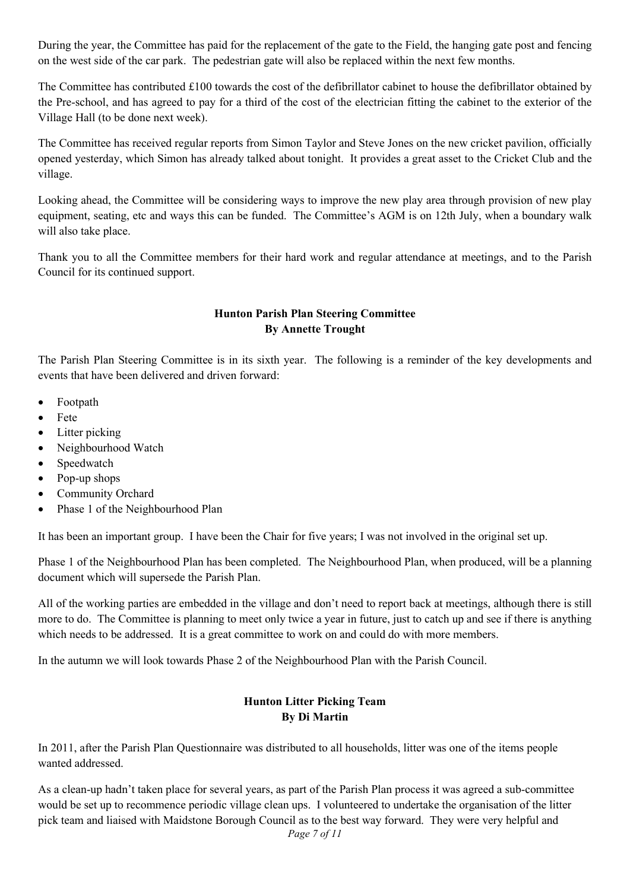During the year, the Committee has paid for the replacement of the gate to the Field, the hanging gate post and fencing on the west side of the car park. The pedestrian gate will also be replaced within the next few months.

The Committee has contributed £100 towards the cost of the defibrillator cabinet to house the defibrillator obtained by the Pre-school, and has agreed to pay for a third of the cost of the electrician fitting the cabinet to the exterior of the Village Hall (to be done next week).

The Committee has received regular reports from Simon Taylor and Steve Jones on the new cricket pavilion, officially opened yesterday, which Simon has already talked about tonight. It provides a great asset to the Cricket Club and the village.

Looking ahead, the Committee will be considering ways to improve the new play area through provision of new play equipment, seating, etc and ways this can be funded. The Committee's AGM is on 12th July, when a boundary walk will also take place.

Thank you to all the Committee members for their hard work and regular attendance at meetings, and to the Parish Council for its continued support.

### **Hunton Parish Plan Steering Committee By Annette Trought**

The Parish Plan Steering Committee is in its sixth year. The following is a reminder of the key developments and events that have been delivered and driven forward:

- Footpath
- Fete
- Litter picking
- Neighbourhood Watch
- Speedwatch
- Pop-up shops
- Community Orchard
- Phase 1 of the Neighbourhood Plan

It has been an important group. I have been the Chair for five years; I was not involved in the original set up.

Phase 1 of the Neighbourhood Plan has been completed. The Neighbourhood Plan, when produced, will be a planning document which will supersede the Parish Plan.

All of the working parties are embedded in the village and don't need to report back at meetings, although there is still more to do. The Committee is planning to meet only twice a year in future, just to catch up and see if there is anything which needs to be addressed. It is a great committee to work on and could do with more members.

In the autumn we will look towards Phase 2 of the Neighbourhood Plan with the Parish Council.

### **Hunton Litter Picking Team By Di Martin**

In 2011, after the Parish Plan Questionnaire was distributed to all households, litter was one of the items people wanted addressed.

*Page 7 of 11*  As a clean-up hadn't taken place for several years, as part of the Parish Plan process it was agreed a sub-committee would be set up to recommence periodic village clean ups. I volunteered to undertake the organisation of the litter pick team and liaised with Maidstone Borough Council as to the best way forward. They were very helpful and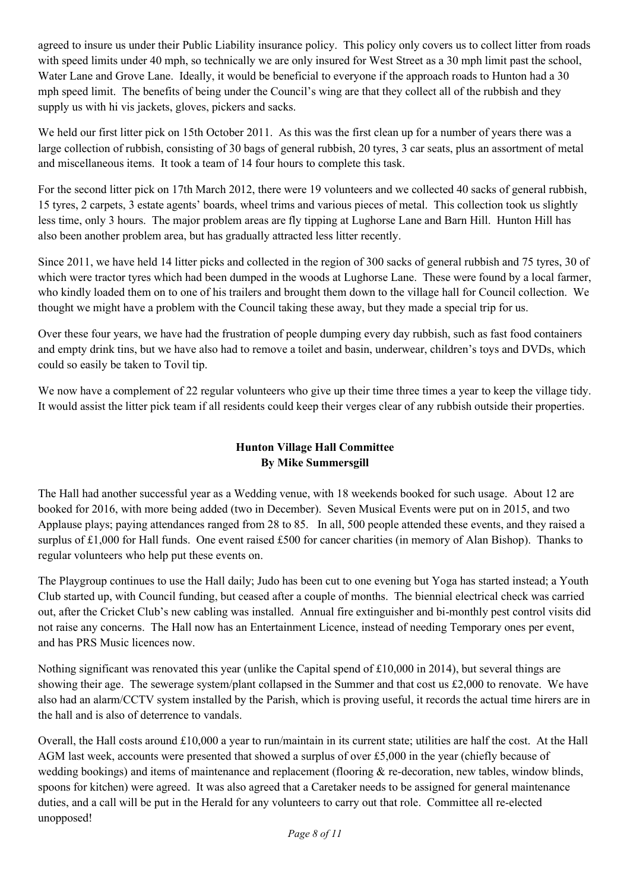agreed to insure us under their Public Liability insurance policy. This policy only covers us to collect litter from roads with speed limits under 40 mph, so technically we are only insured for West Street as a 30 mph limit past the school, Water Lane and Grove Lane. Ideally, it would be beneficial to everyone if the approach roads to Hunton had a 30 mph speed limit. The benefits of being under the Council's wing are that they collect all of the rubbish and they supply us with hi vis jackets, gloves, pickers and sacks.

We held our first litter pick on 15th October 2011. As this was the first clean up for a number of years there was a large collection of rubbish, consisting of 30 bags of general rubbish, 20 tyres, 3 car seats, plus an assortment of metal and miscellaneous items. It took a team of 14 four hours to complete this task.

For the second litter pick on 17th March 2012, there were 19 volunteers and we collected 40 sacks of general rubbish, 15 tyres, 2 carpets, 3 estate agents' boards, wheel trims and various pieces of metal. This collection took us slightly less time, only 3 hours. The major problem areas are fly tipping at Lughorse Lane and Barn Hill. Hunton Hill has also been another problem area, but has gradually attracted less litter recently.

Since 2011, we have held 14 litter picks and collected in the region of 300 sacks of general rubbish and 75 tyres, 30 of which were tractor tyres which had been dumped in the woods at Lughorse Lane. These were found by a local farmer, who kindly loaded them on to one of his trailers and brought them down to the village hall for Council collection. We thought we might have a problem with the Council taking these away, but they made a special trip for us.

Over these four years, we have had the frustration of people dumping every day rubbish, such as fast food containers and empty drink tins, but we have also had to remove a toilet and basin, underwear, children's toys and DVDs, which could so easily be taken to Tovil tip.

We now have a complement of 22 regular volunteers who give up their time three times a year to keep the village tidy. It would assist the litter pick team if all residents could keep their verges clear of any rubbish outside their properties.

# **Hunton Village Hall Committee By Mike Summersgill**

The Hall had another successful year as a Wedding venue, with 18 weekends booked for such usage. About 12 are booked for 2016, with more being added (two in December). Seven Musical Events were put on in 2015, and two Applause plays; paying attendances ranged from 28 to 85. In all, 500 people attended these events, and they raised a surplus of £1,000 for Hall funds. One event raised £500 for cancer charities (in memory of Alan Bishop). Thanks to regular volunteers who help put these events on.

The Playgroup continues to use the Hall daily; Judo has been cut to one evening but Yoga has started instead; a Youth Club started up, with Council funding, but ceased after a couple of months. The biennial electrical check was carried out, after the Cricket Club's new cabling was installed. Annual fire extinguisher and bi-monthly pest control visits did not raise any concerns. The Hall now has an Entertainment Licence, instead of needing Temporary ones per event, and has PRS Music licences now.

Nothing significant was renovated this year (unlike the Capital spend of  $\text{\pounds}10,000$  in 2014), but several things are showing their age. The sewerage system/plant collapsed in the Summer and that cost us  $\text{\pounds}2,000$  to renovate. We have also had an alarm/CCTV system installed by the Parish, which is proving useful, it records the actual time hirers are in the hall and is also of deterrence to vandals.

Overall, the Hall costs around £10,000 a year to run/maintain in its current state; utilities are half the cost. At the Hall AGM last week, accounts were presented that showed a surplus of over £5,000 in the year (chiefly because of wedding bookings) and items of maintenance and replacement (flooring & re-decoration, new tables, window blinds, spoons for kitchen) were agreed. It was also agreed that a Caretaker needs to be assigned for general maintenance duties, and a call will be put in the Herald for any volunteers to carry out that role. Committee all re-elected unopposed!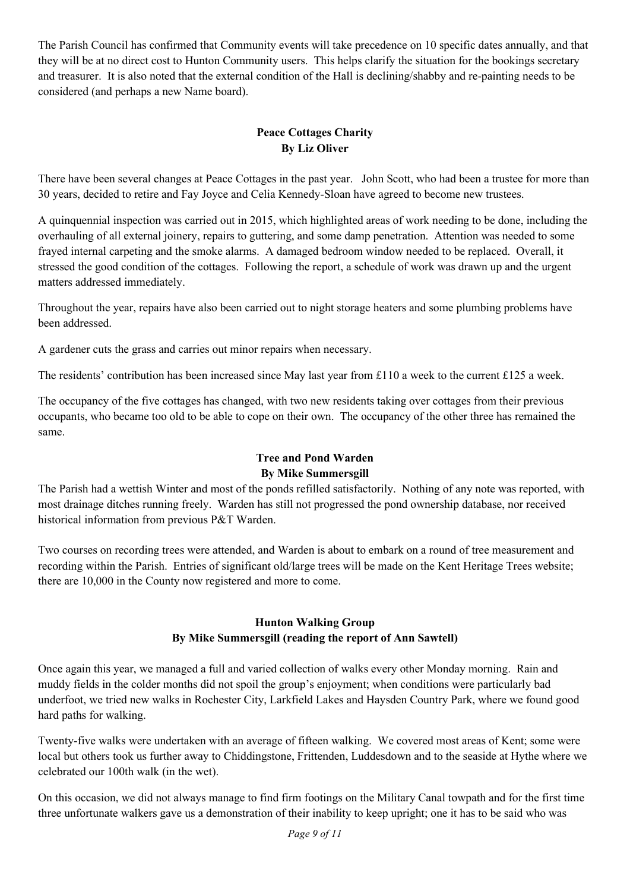The Parish Council has confirmed that Community events will take precedence on 10 specific dates annually, and that they will be at no direct cost to Hunton Community users. This helps clarify the situation for the bookings secretary and treasurer. It is also noted that the external condition of the Hall is declining/shabby and re-painting needs to be considered (and perhaps a new Name board).

# **Peace Cottages Charity By Liz Oliver**

There have been several changes at Peace Cottages in the past year. John Scott, who had been a trustee for more than 30 years, decided to retire and Fay Joyce and Celia Kennedy-Sloan have agreed to become new trustees.

A quinquennial inspection was carried out in 2015, which highlighted areas of work needing to be done, including the overhauling of all external joinery, repairs to guttering, and some damp penetration. Attention was needed to some frayed internal carpeting and the smoke alarms. A damaged bedroom window needed to be replaced. Overall, it stressed the good condition of the cottages. Following the report, a schedule of work was drawn up and the urgent matters addressed immediately.

Throughout the year, repairs have also been carried out to night storage heaters and some plumbing problems have been addressed.

A gardener cuts the grass and carries out minor repairs when necessary.

The residents' contribution has been increased since May last year from £110 a week to the current £125 a week.

The occupancy of the five cottages has changed, with two new residents taking over cottages from their previous occupants, who became too old to be able to cope on their own. The occupancy of the other three has remained the same.

# **Tree and Pond Warden By Mike Summersgill**

The Parish had a wettish Winter and most of the ponds refilled satisfactorily. Nothing of any note was reported, with most drainage ditches running freely. Warden has still not progressed the pond ownership database, nor received historical information from previous P&T Warden.

Two courses on recording trees were attended, and Warden is about to embark on a round of tree measurement and recording within the Parish. Entries of significant old/large trees will be made on the Kent Heritage Trees website; there are 10,000 in the County now registered and more to come.

#### **Hunton Walking Group By Mike Summersgill (reading the report of Ann Sawtell)**

Once again this year, we managed a full and varied collection of walks every other Monday morning. Rain and muddy fields in the colder months did not spoil the group's enjoyment; when conditions were particularly bad underfoot, we tried new walks in Rochester City, Larkfield Lakes and Haysden Country Park, where we found good hard paths for walking.

Twenty-five walks were undertaken with an average of fifteen walking. We covered most areas of Kent; some were local but others took us further away to Chiddingstone, Frittenden, Luddesdown and to the seaside at Hythe where we celebrated our 100th walk (in the wet).

On this occasion, we did not always manage to find firm footings on the Military Canal towpath and for the first time three unfortunate walkers gave us a demonstration of their inability to keep upright; one it has to be said who was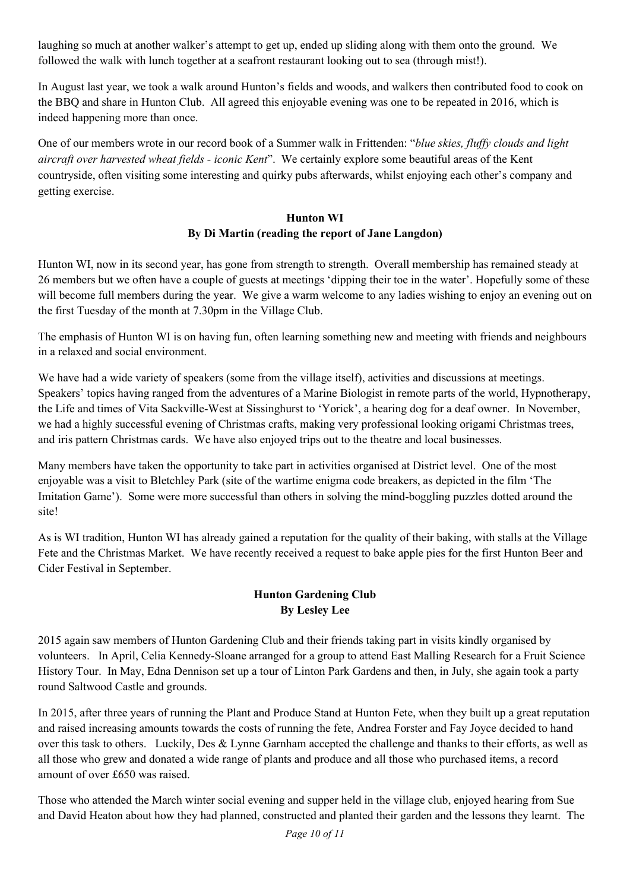laughing so much at another walker's attempt to get up, ended up sliding along with them onto the ground. We followed the walk with lunch together at a seafront restaurant looking out to sea (through mist!).

In August last year, we took a walk around Hunton's fields and woods, and walkers then contributed food to cook on the BBQ and share in Hunton Club. All agreed this enjoyable evening was one to be repeated in 2016, which is indeed happening more than once.

One of our members wrote in our record book of a Summer walk in Frittenden: "*blue skies, fluffy clouds and light aircraft over harvested wheat fields - iconic Kent*". We certainly explore some beautiful areas of the Kent countryside, often visiting some interesting and quirky pubs afterwards, whilst enjoying each other's company and getting exercise.

#### **Hunton WI By Di Martin (reading the report of Jane Langdon)**

Hunton WI, now in its second year, has gone from strength to strength. Overall membership has remained steady at 26 members but we often have a couple of guests at meetings 'dipping their toe in the water'. Hopefully some of these will become full members during the year. We give a warm welcome to any ladies wishing to enjoy an evening out on the first Tuesday of the month at 7.30pm in the Village Club.

The emphasis of Hunton WI is on having fun, often learning something new and meeting with friends and neighbours in a relaxed and social environment.

We have had a wide variety of speakers (some from the village itself), activities and discussions at meetings. Speakers' topics having ranged from the adventures of a Marine Biologist in remote parts of the world, Hypnotherapy, the Life and times of Vita Sackville-West at Sissinghurst to 'Yorick', a hearing dog for a deaf owner. In November, we had a highly successful evening of Christmas crafts, making very professional looking origami Christmas trees, and iris pattern Christmas cards. We have also enjoyed trips out to the theatre and local businesses.

Many members have taken the opportunity to take part in activities organised at District level. One of the most enjoyable was a visit to Bletchley Park (site of the wartime enigma code breakers, as depicted in the film 'The Imitation Game'). Some were more successful than others in solving the mind-boggling puzzles dotted around the site!

As is WI tradition, Hunton WI has already gained a reputation for the quality of their baking, with stalls at the Village Fete and the Christmas Market. We have recently received a request to bake apple pies for the first Hunton Beer and Cider Festival in September.

# **Hunton Gardening Club By Lesley Lee**

2015 again saw members of Hunton Gardening Club and their friends taking part in visits kindly organised by volunteers. In April, Celia Kennedy-Sloane arranged for a group to attend East Malling Research for a Fruit Science History Tour. In May, Edna Dennison set up a tour of Linton Park Gardens and then, in July, she again took a party round Saltwood Castle and grounds.

In 2015, after three years of running the Plant and Produce Stand at Hunton Fete, when they built up a great reputation and raised increasing amounts towards the costs of running the fete, Andrea Forster and Fay Joyce decided to hand over this task to others. Luckily, Des & Lynne Garnham accepted the challenge and thanks to their efforts, as well as all those who grew and donated a wide range of plants and produce and all those who purchased items, a record amount of over £650 was raised.

Those who attended the March winter social evening and supper held in the village club, enjoyed hearing from Sue and David Heaton about how they had planned, constructed and planted their garden and the lessons they learnt. The